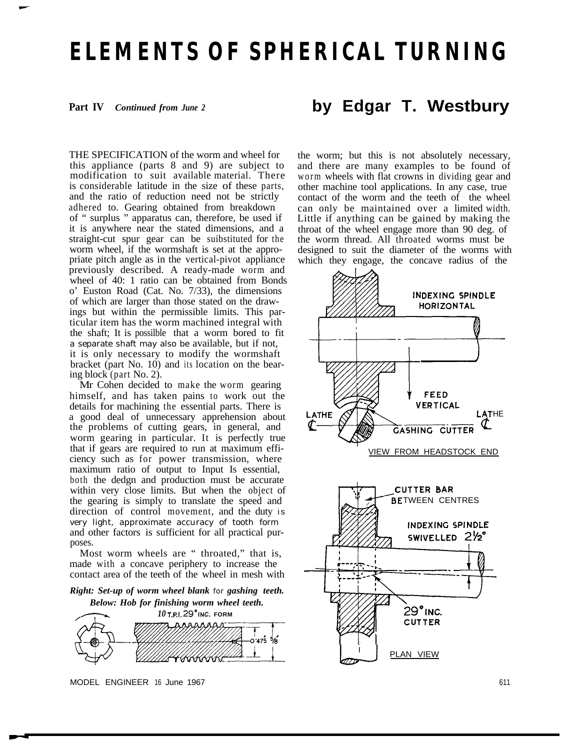# **ELEMENTS OF SPHERICAL TURNING**

**Part IV** *Continued from June 2*

THE SPECIFICATION of the worm and wheel for this appliance (parts 8 and 9) are subject to modification to suit available material. There is considerable latitude in the size of these parts, and the ratio of reduction need not be strictly adhered to. Gearing obtained from breakdown of " surplus " apparatus can, therefore, be used if it is anywhere near the stated dimensions, and a straight-cut spur gear can be suibstituted for the worm wheel, if the wormshaft is set at the appropriate pitch angle as in the vertical-pivot appliance previously described. A ready-made worm and wheel of 40: 1 ratio can be obtained from Bonds o' Euston Road (Cat. No. 7/33), the dimensions of which are larger than those stated on the drawings but within the permissible limits. This particular item has the worm machined integral with the shaft; It is possilble that a worm bored to fit a separate shaft may also be available, but if not, it is only necessary to modify the wormshaft bracket (part No. 10) and its location on the bearing block (part No. 2).

Mr Cohen decided to make the worm gearing himself, and has taken pains to work out the details for machining the essential parts. There is a good deal of unnecessary apprehension about the problems of cutting gears, in general, and worm gearing in particular. It is perfectly true that if gears are required to run at maximum efficiency such as for power transmission, where maximum ratio of output to Input Is essential, both the dedgn and production must be accurate within very close limits. But when the object of the gearing is simply to translate the speed and direction of control movement, and the duty is very light, approximate accuracy of tooth form and other factors is sufficient for all practical purposes.

Most worm wheels are " throated," that is, made with a concave periphery to increase the contact area of the teeth of the wheel in mesh with

*Right: Set-up of worm wheel blank* for *gashing teeth. Below: Hob for finishing worm wheel teeth.*



## **by Edgar T. Westbury**

the worm; but this is not absolutely necessary, and there are many examples to be found of worm wheels with flat crowns in dividing gear and other machine tool applications. In any case, true contact of the worm and the teeth of the wheel can only be maintained over a limited width. Little if anything can be gained by making the throat of the wheel engage more than 90 deg. of the worm thread. All throated worms must be designed to suit the diameter of the worms with which they engage, the concave radius of the

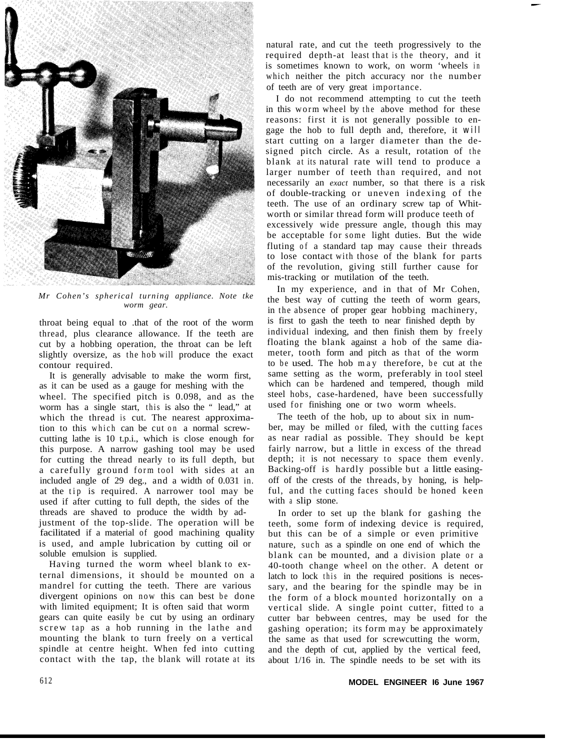

*Mr Cohen's spherical turning appliance. Note tke worm gear.*

throat being equal to .that of the root of the worm thread, plus clearance allowance. If the teeth are cut by a hobbing operation, the throat can be left slightly oversize, as the hob will produce the exact contour required.

It is generally advisable to make the worm first, as it can be used as a gauge for meshing with the wheel. The specified pitch is 0.098, and as the worm has a single start, this is also the " lead," at which the thread is cut. The nearest approximation to this which can be cut on a normal screwcutting lathe is 10 t.p.i., which is close enough for this purpose. A narrow gashing tool may be used for cutting the thread nearly to its full depth, but a carefully ground form tool with sides at an included angle of 29 deg., and a width of 0.031 in. at the tip is required. A narrower tool may be used if after cutting to full depth, the sides of the threads are shaved to produce the width by adjustment of the top-slide. The operation will be facilitated if a material of good machining quality is used, and ample lubrication by cutting oil or soluble emulsion is supplied.

Having turned the worm wheel blank to external dimensions, it should be mounted on a mandrel for cutting the teeth. There are various divergent opinions on now this can best be done with limited equipment; It is often said that worm gears can quite easily be cut by using an ordinary screw tap as a hob running in the lathe and mounting the blank to turn freely on a vertical spindle at centre height. When fed into cutting contact with the tap, the blank will rotate at its natural rate, and cut the teeth progressively to the required depth-at least that is the theory, and it is sometimes known to work, on worm 'wheels in which neither the pitch accuracy nor the number of teeth are of very great importance.

I do not recommend attempting to cut the teeth in this worm wheel by the above method for these reasons: first it is not generally possible to engage the hob to full depth and, therefore, it *will* start cutting on a larger diameter than the designed pitch circle. As a result, rotation of the blank at its natural rate will tend to produce a larger number of teeth than required, and not necessarily an *exact* number, so that there is a risk of double-tracking or uneven indexing of the teeth. The use of an ordinary screw tap of Whitworth or similar thread form will produce teeth of excessively wide pressure angle, though this may be acceptable for some light duties. But the wide fluting of a standard tap may cause their threads to lose contact with those of the blank for parts of the revolution, giving still further cause for mis-tracking or mutilation of the teeth.

In my experience, and in that of Mr Cohen, the best way of cutting the teeth of worm gears, in the absence of proper gear hobbing machinery, is first to gash the teeth to near finished depth by individual indexing, and then finish them by freely floating the blank against a hob of the same diameter, tooth form and pitch as that of the worm to be used. The hob may therefore, be cut at the same setting as the worm, preferably in tool steel which can be hardened and tempered, though mild steel hobs, case-hardened, have been successfully used for finishing one or two worm wheels.

The teeth of the hob, up to about six in number, may be milled or filed, with the cutting faces as near radial as possible. They should be kept fairly narrow, but a little in excess of the thread depth; it is not necessary to space them evenly. Backing-off is hardly possible but a little easingoff of the crests of the threads, by honing, is helpful, and the cutting faces should be honed keen with a slip stone.

In order to set up the blank for gashing the teeth, some form of indexing device is required, but this can be of a simple or even primitive nature, such as a spindle on one end of which the blank can be mounted, and a division plate or a 40-tooth change wheel on the other. A detent or latch to lock this in the required positions is necessary, and the bearing for the spindle may be in the form of a block mounted horizontally on a vertical slide. A single point cutter, fitted to a cutter bar bebween centres, may be used for the gashing operation; its form may be approximately the same as that used for screwcutting the worm, and the depth of cut, applied by the vertical feed, about 1/16 in. The spindle needs to be set with its